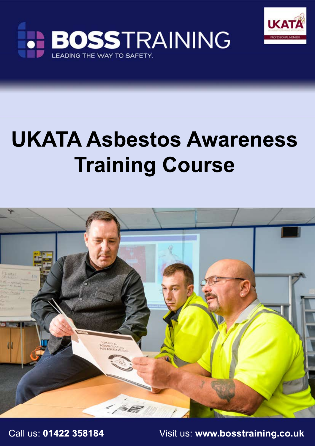



# **UKATA Asbestos Awareness Training Course**



Call us: **01422 358184** Visit us: **www.bosstraining.co.uk**